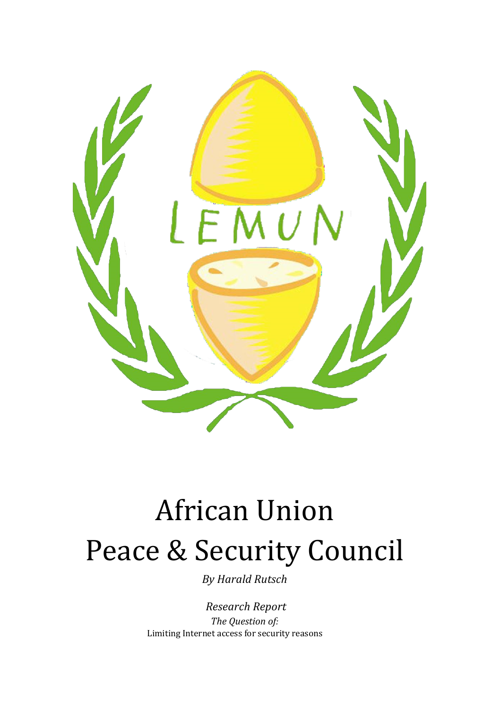

# **African Union** Peace & Security Council

*By Harald Rutsch*

*Research Report The Question of:* Limiting Internet access for security reasons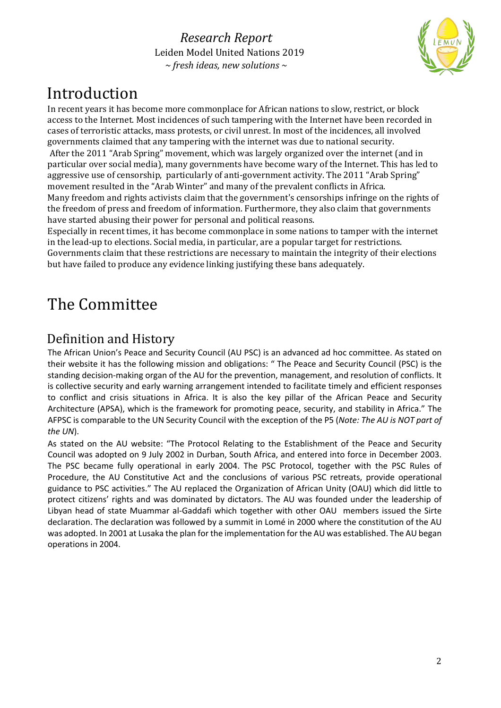

### Introduction

In recent years it has become more commonplace for African nations to slow, restrict, or block access to the Internet. Most incidences of such tampering with the Internet have been recorded in cases of terroristic attacks, mass protests, or civil unrest. In most of the incidences, all involved governments claimed that any tampering with the internet was due to national security. After the 2011 "Arab Spring" movement, which was largely organized over the internet (and in particular over social media), many governments have become wary of the Internet. This has led to aggressive use of censorship, particularly of anti-government activity. The 2011 "Arab Spring" movement resulted in the "Arab Winter" and many of the prevalent conflicts in Africa. Many freedom and rights activists claim that the government's censorships infringe on the rights of

the freedom of press and freedom of information. Furthermore, they also claim that governments have started abusing their power for personal and political reasons.

Especially in recent times, it has become commonplace in some nations to tamper with the internet in the lead-up to elections. Social media, in particular, are a popular target for restrictions.

Governments claim that these restrictions are necessary to maintain the integrity of their elections but have failed to produce any evidence linking justifying these bans adequately.

### The Committee

### Definition and History

The African Union's Peace and Security Council (AU PSC) is an advanced ad hoc committee. As stated on their website it has the following mission and obligations: " The Peace and Security Council (PSC) is the standing decision-making organ of the AU for the prevention, management, and resolution of conflicts. It is collective security and early warning arrangement intended to facilitate timely and efficient responses to conflict and crisis situations in Africa. It is also the key pillar of the African Peace and Security Architecture (APSA), which is the framework for promoting peace, security, and stability in Africa." The AFPSC is comparable to the UN Security Council with the exception of the P5 (*Note: The AU is NOT part of the UN*).

As stated on the AU website: "The Protocol Relating to the Establishment of the Peace and Security Council was adopted on 9 July 2002 in Durban, South Africa, and entered into force in December 2003. The PSC became fully operational in early 2004. The PSC Protocol, together with the PSC Rules of Procedure, the AU Constitutive Act and the conclusions of various PSC retreats, provide operational guidance to PSC activities." The AU replaced the Organization of African Unity (OAU) which did little to protect citizens' rights and was dominated by dictators. The AU was founded under the leadership of Libyan head of state Muammar al-Gaddafi which together with other OAU members issued the Sirte declaration. The declaration was followed by a summit in Lomé in 2000 where the constitution of the AU was adopted. In 2001 at Lusaka the plan for the implementation for the AU was established. The AU began operations in 2004.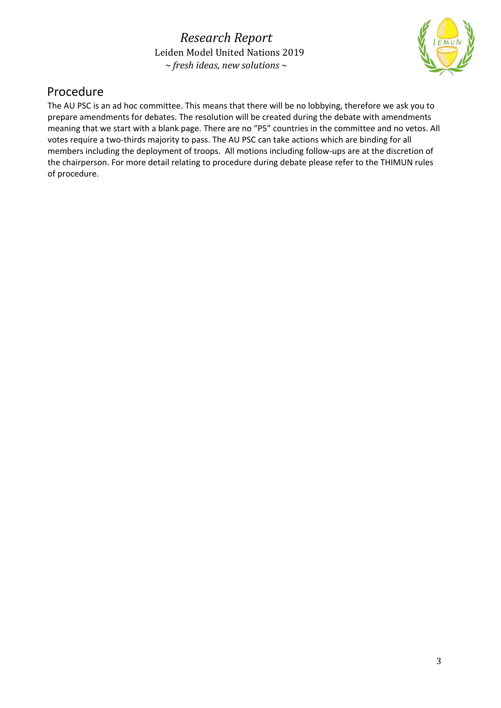

#### Procedure

The AU PSC is an ad hoc committee. This means that there will be no lobbying, therefore we ask you to prepare amendments for debates. The resolution will be created during the debate with amendments meaning that we start with a blank page. There are no "P5" countries in the committee and no vetos. All votes require a two-thirds majority to pass. The AU PSC can take actions which are binding for all members including the deployment of troops. All motions including follow-ups are at the discretion of the chairperson. For more detail relating to procedure during debate please refer to the THIMUN rules of procedure.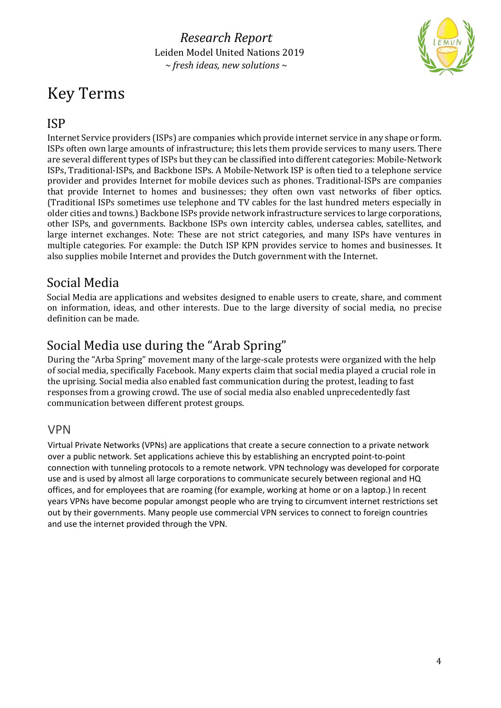# Key Terms



#### ISP

Internet Service providers (ISPs) are companies which provide internet service in any shape or form. ISPs often own large amounts of infrastructure; this lets them provide services to many users. There are several different types of ISPs but they can be classified into different categories: Mobile-Network ISPs, Traditional-ISPs, and Backbone ISPs. A Mobile-Network ISP is often tied to a telephone service provider and provides Internet for mobile devices such as phones. Traditional-ISPs are companies that provide Internet to homes and businesses; they often own vast networks of fiber optics. (Traditional ISPs sometimes use telephone and TV cables for the last hundred meters especially in older cities and towns.) Backbone ISPs provide network infrastructure services to large corporations, other ISPs, and governments. Backbone ISPs own intercity cables, undersea cables, satellites, and large internet exchanges. Note: These are not strict categories, and many ISPs have ventures in multiple categories. For example: the Dutch ISP KPN provides service to homes and businesses. It also supplies mobile Internet and provides the Dutch government with the Internet.

#### Social Media

Social Media are applications and websites designed to enable users to create, share, and comment on information, ideas, and other interests. Due to the large diversity of social media, no precise definition can be made.

### Social Media use during the "Arab Spring"

During the "Arba Spring" movement many of the large-scale protests were organized with the help of social media, specifically Facebook. Many experts claim that social media played a crucial role in the uprising. Social media also enabled fast communication during the protest, leading to fast responses from a growing crowd. The use of social media also enabled unprecedentedly fast communication between different protest groups.

#### VPN

Virtual Private Networks (VPNs) are applications that create a secure connection to a private network over a public network. Set applications achieve this by establishing an encrypted point-to-point connection with tunneling protocols to a remote network. VPN technology was developed for corporate use and is used by almost all large corporations to communicate securely between regional and HQ offices, and for employees that are roaming (for example, working at home or on a laptop.) In recent years VPNs have become popular amongst people who are trying to circumvent internet restrictions set out by their governments. Many people use commercial VPN services to connect to foreign countries and use the internet provided through the VPN.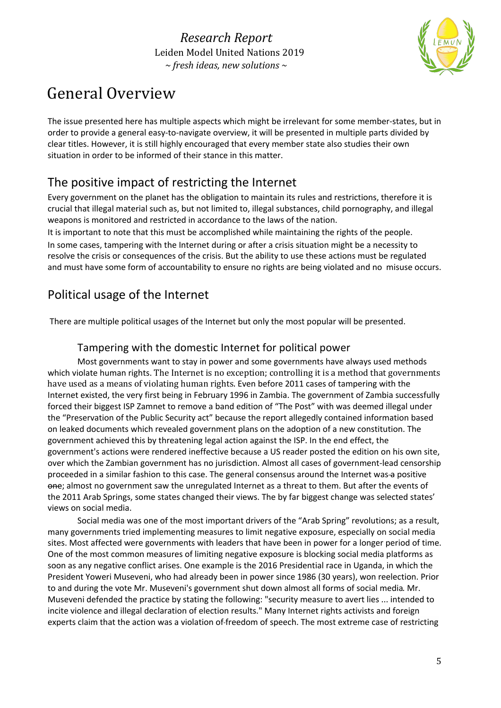

## General Overview

The issue presented here has multiple aspects which might be irrelevant for some member-states, but in order to provide a general easy-to-navigate overview, it will be presented in multiple parts divided by clear titles. However, it is still highly encouraged that every member state also studies their own situation in order to be informed of their stance in this matter.

### The positive impact of restricting the Internet

Every government on the planet has the obligation to maintain its rules and restrictions, therefore it is crucial that illegal material such as, but not limited to, illegal substances, child pornography, and illegal weapons is monitored and restricted in accordance to the laws of the nation.

It is important to note that this must be accomplished while maintaining the rights of the people. In some cases, tampering with the Internet during or after a crisis situation might be a necessity to resolve the crisis or consequences of the crisis. But the ability to use these actions must be regulated and must have some form of accountability to ensure no rights are being violated and no misuse occurs.

### Political usage of the Internet

There are multiple political usages of the Internet but only the most popular will be presented.

#### Tampering with the domestic Internet for political power

Most governments want to stay in power and some governments have always used methods which violate human rights. The Internet is no exception; controlling it is a method that governments have used as a means of violating human rights. Even before 2011 cases of tampering with the Internet existed, the very first being in February 1996 in Zambia. The government of Zambia successfully forced their biggest ISP Zamnet to remove a band edition of "The Post" with was deemed illegal under the "Preservation of the Public Security act" because the report allegedly contained information based on leaked documents which revealed government plans on the adoption of a new constitution. The government achieved this by threatening legal action against the ISP. In the end effect, the government's actions were rendered ineffective because a US reader posted the edition on his own site, over which the Zambian government has no jurisdiction. Almost all cases of government-lead censorship proceeded in a similar fashion to this case. The general consensus around the Internet was a positive one; almost no government saw the unregulated Internet as a threat to them. But after the events of the 2011 Arab Springs, some states changed their views. The by far biggest change was selected states' views on social media.

Social media was one of the most important drivers of the "Arab Spring" revolutions; as a result, many governments tried implementing measures to limit negative exposure, especially on social media sites. Most affected were governments with leaders that have been in power for a longer period of time. One of the most common measures of limiting negative exposure is blocking social media platforms as soon as any negative conflict arises. One example is the 2016 Presidential race in Uganda, in which the President Yoweri Museveni, who had already been in power since 1986 (30 years), won reelection. Prior to and during the vote Mr. Museveni's government shut down almost all forms of social media*.* Mr. Museveni defended the practice by stating the following: "security measure to avert lies ... intended to incite violence and illegal declaration of election results." Many Internet rights activists and foreign experts claim that the action was a violation of freedom of speech. The most extreme case of restricting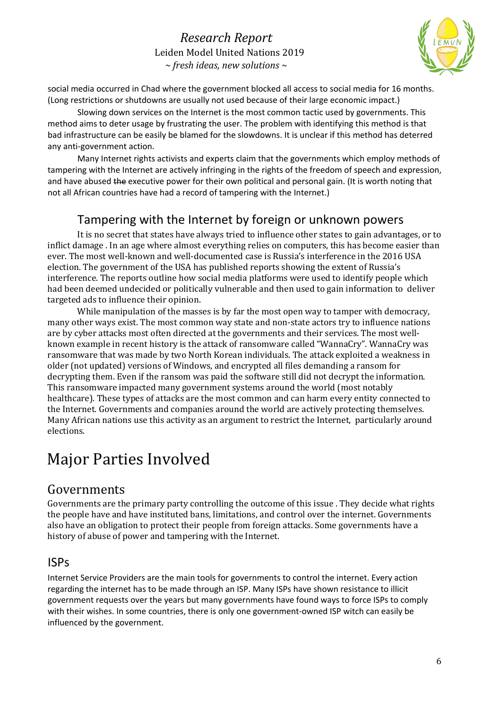

social media occurred in Chad where the government blocked all access to social media for 16 months. (Long restrictions or shutdowns are usually not used because of their large economic impact.)

Slowing down services on the Internet is the most common tactic used by governments. This method aims to deter usage by frustrating the user. The problem with identifying this method is that bad infrastructure can be easily be blamed for the slowdowns. It is unclear if this method has deterred any anti-government action.

Many Internet rights activists and experts claim that the governments which employ methods of tampering with the Internet are actively infringing in the rights of the freedom of speech and expression, and have abused the executive power for their own political and personal gain. (It is worth noting that not all African countries have had a record of tampering with the Internet.)

#### Tampering with the Internet by foreign or unknown powers

It is no secret that states have always tried to influence other states to gain advantages, or to inflict damage . In an age where almost everything relies on computers, this has become easier than ever. The most well-known and well-documented case is Russia's interference in the 2016 USA election. The government of the USA has published reports showing the extent of Russia's interference. The reports outline how social media platforms were used to identify people which had been deemed undecided or politically vulnerable and then used to gain information to deliver targeted ads to influence their opinion.

While manipulation of the masses is by far the most open way to tamper with democracy, many other ways exist. The most common way state and non-state actors try to influence nations are by cyber attacks most often directed at the governments and their services. The most wellknown example in recent history is the attack of ransomware called "WannaCry". WannaCry was ransomware that was made by two North Korean individuals. The attack exploited a weakness in older (not updated) versions of Windows, and encrypted all files demanding a ransom for decrypting them. Even if the ransom was paid the software still did not decrypt the information. This ransomware impacted many government systems around the world (most notably healthcare). These types of attacks are the most common and can harm every entity connected to the Internet. Governments and companies around the world are actively protecting themselves. Many African nations use this activity as an argument to restrict the Internet, particularly around elections.

### Major Parties Involved

#### Governments

Governments are the primary party controlling the outcome of this issue . They decide what rights the people have and have instituted bans, limitations, and control over the internet. Governments also have an obligation to protect their people from foreign attacks. Some governments have a history of abuse of power and tampering with the Internet.

#### ISPs

Internet Service Providers are the main tools for governments to control the internet. Every action regarding the internet has to be made through an ISP. Many ISPs have shown resistance to illicit government requests over the years but many governments have found ways to force ISPs to comply with their wishes. In some countries, there is only one government-owned ISP witch can easily be influenced by the government.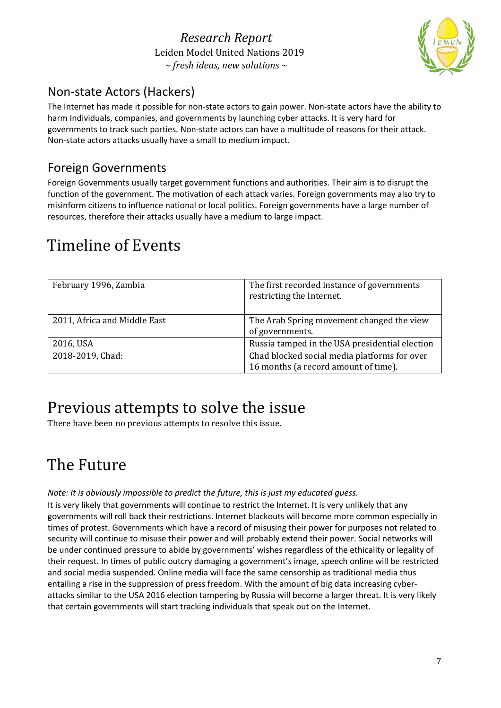

### Non-state Actors (Hackers)

The Internet has made it possible for non-state actors to gain power. Non-state actors have the ability to harm Individuals, companies, and governments by launching cyber attacks. It is very hard for governments to track such parties. Non-state actors can have a multitude of reasons for their attack. Non-state actors attacks usually have a small to medium impact.

#### Foreign Governments

Foreign Governments usually target government functions and authorities. Their aim is to disrupt the function of the government. The motivation of each attack varies. Foreign governments may also try to misinform citizens to influence national or local politics. Foreign governments have a large number of resources, therefore their attacks usually have a medium to large impact.

### Timeline of Events

| February 1996, Zambia        | The first recorded instance of governments<br>restricting the Internet.              |
|------------------------------|--------------------------------------------------------------------------------------|
| 2011, Africa and Middle East | The Arab Spring movement changed the view<br>of governments.                         |
| 2016, USA                    | Russia tamped in the USA presidential election                                       |
| 2018-2019, Chad:             | Chad blocked social media platforms for over<br>16 months (a record amount of time). |

### Previous attempts to solve the issue

There have been no previous attempts to resolve this issue.

### The Future

#### *Note: It is obviously impossible to predict the future, this is just my educated guess.*

It is very likely that governments will continue to restrict the Internet. It is very unlikely that any governments will roll back their restrictions. Internet blackouts will become more common especially in times of protest. Governments which have a record of misusing their power for purposes not related to security will continue to misuse their power and will probably extend their power. Social networks will be under continued pressure to abide by governments' wishes regardless of the ethicality or legality of their request. In times of public outcry damaging a government's image, speech online will be restricted and social media suspended. Online media will face the same censorship as traditional media thus entailing a rise in the suppression of press freedom. With the amount of big data increasing cyberattacks similar to the USA 2016 election tampering by Russia will become a larger threat. It is very likely that certain governments will start tracking individuals that speak out on the Internet.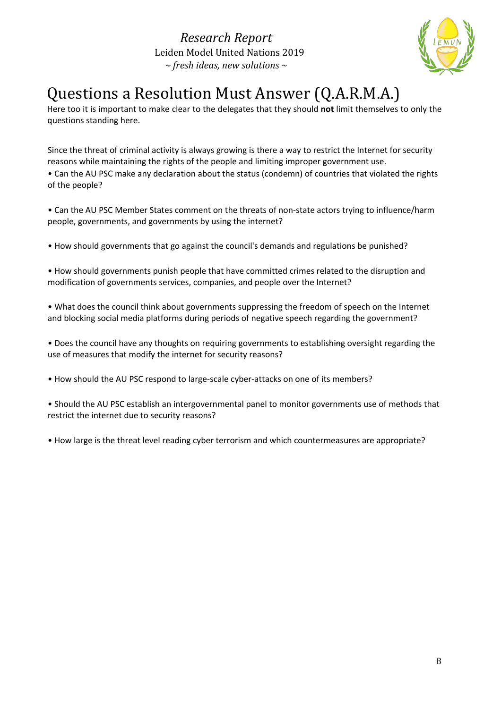

# Questions a Resolution Must Answer (Q.A.R.M.A.)

Here too it is important to make clear to the delegates that they should **not** limit themselves to only the questions standing here.

Since the threat of criminal activity is always growing is there a way to restrict the Internet for security reasons while maintaining the rights of the people and limiting improper government use. • Can the AU PSC make any declaration about the status (condemn) of countries that violated the rights of the people?

• Can the AU PSC Member States comment on the threats of non-state actors trying to influence/harm people, governments, and governments by using the internet?

• How should governments that go against the council's demands and regulations be punished?

• How should governments punish people that have committed crimes related to the disruption and modification of governments services, companies, and people over the Internet?

• What does the council think about governments suppressing the freedom of speech on the Internet and blocking social media platforms during periods of negative speech regarding the government?

• Does the council have any thoughts on requiring governments to establishing oversight regarding the use of measures that modify the internet for security reasons?

• How should the AU PSC respond to large-scale cyber-attacks on one of its members?

• Should the AU PSC establish an intergovernmental panel to monitor governments use of methods that restrict the internet due to security reasons?

• How large is the threat level reading cyber terrorism and which countermeasures are appropriate?